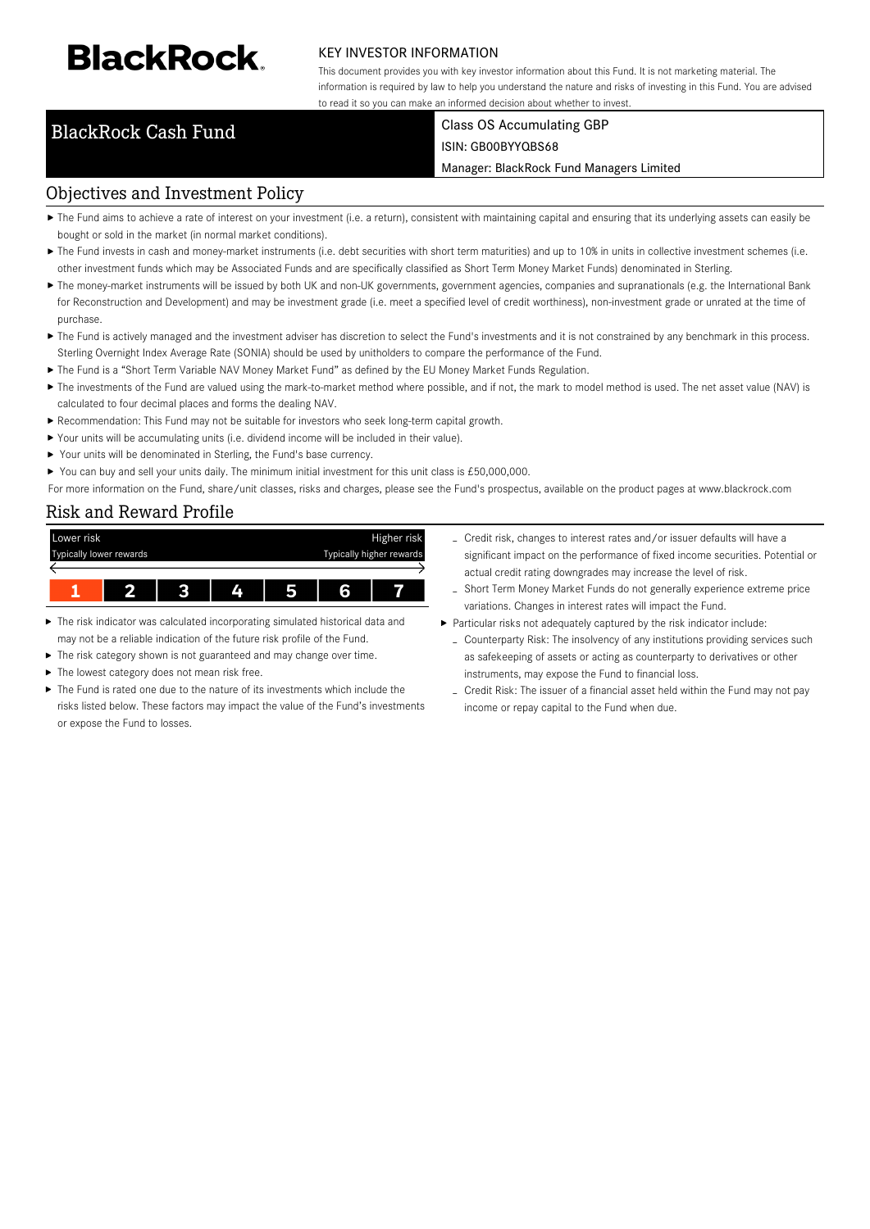# **BlackRock**

#### KEY INVESTOR INFORMATION

This document provides you with key investor information about this Fund. It is not marketing material. The information is required by law to help you understand the nature and risks of investing in this Fund. You are advised to read it so you can make an informed decision about whether to invest.

### BlackRock Cash Fund Class OS Accumulating GBP ISIN: GB00BYYQBS68

Manager: BlackRock Fund Managers Limited

# Objectives and Investment Policy

- ▶ The Fund aims to achieve a rate of interest on your investment (i.e. a return), consistent with maintaining capital and ensuring that its underlying assets can easily be bought or sold in the market (in normal market conditions).
- ▶ The Fund invests in cash and money-market instruments (i.e. debt securities with short term maturities) and up to 10% in units in collective investment schemes (i.e. other investment funds which may be Associated Funds and are specifically classified as Short Term Money Market Funds) denominated in Sterling.
- ▶ The money-market instruments will be issued by both UK and non-UK governments, government agencies, companies and supranationals (e.g. the International Bank for Reconstruction and Development) and may be investment grade (i.e. meet a specified level of credit worthiness), non-investment grade or unrated at the time of purchase.
- ▶ The Fund is actively managed and the investment adviser has discretion to select the Fund's investments and it is not constrained by any benchmark in this process. Sterling Overnight Index Average Rate (SONIA) should be used by unitholders to compare the performance of the Fund.
- The Fund is a "Short Term Variable NAV Money Market Fund" as defined by the EU Money Market Funds Regulation.
- ▶ The investments of the Fund are valued using the mark-to-market method where possible, and if not, the mark to model method is used. The net asset value (NAV) is calculated to four decimal places and forms the dealing NAV.
- Recommendation: This Fund may not be suitable for investors who seek long-term capital growth.
- Your units will be accumulating units (i.e. dividend income will be included in their value).
- ▶ Your units will be denominated in Sterling, the Fund's base currency.
- ▶ You can buy and sell your units daily. The minimum initial investment for this unit class is £50,000,000.

For more information on the Fund, share/unit classes, risks and charges, please see the Fund's prospectus, available on the product pages at www.blackrock.com

## Risk and Reward Profile



- ь The risk indicator was calculated incorporating simulated historical data and may not be a reliable indication of the future risk profile of the Fund.
- The risk category shown is not guaranteed and may change over time.
- The lowest category does not mean risk free. ь
- The Fund is rated one due to the nature of its investments which include the risks listed below. These factors may impact the value of the Fund's investments or expose the Fund to losses.
- Credit risk, changes to interest rates and/or issuer defaults will have a significant impact on the performance of fixed income securities. Potential or actual credit rating downgrades may increase the level of risk.
- Short Term Money Market Funds do not generally experience extreme price variations. Changes in interest rates will impact the Fund.
- Particular risks not adequately captured by the risk indicator include:
	- Counterparty Risk: The insolvency of any institutions providing services such as safekeeping of assets or acting as counterparty to derivatives or other instruments, may expose the Fund to financial loss.
	- Credit Risk: The issuer of a financial asset held within the Fund may not pay income or repay capital to the Fund when due.